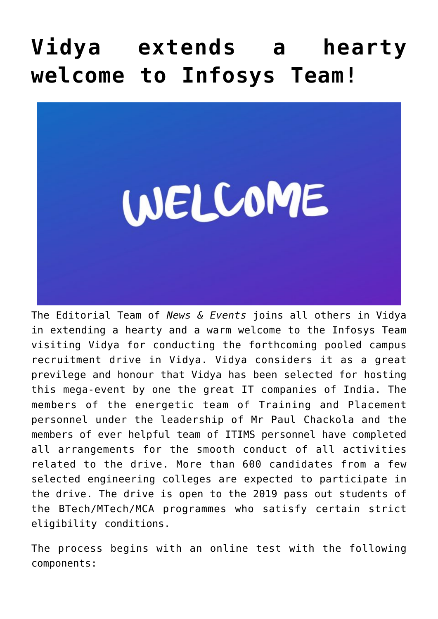## **[Vidya extends a hearty](https://news.vidyaacademy.ac.in/2019/04/03/vidya-extends-a-hearty-welcome-to-infosys-team/) [welcome to Infosys Team!](https://news.vidyaacademy.ac.in/2019/04/03/vidya-extends-a-hearty-welcome-to-infosys-team/)**



The Editorial Team of *News & Events* joins all others in Vidya in extending a hearty and a warm welcome to the Infosys Team visiting Vidya for conducting the forthcoming pooled campus recruitment drive in Vidya. Vidya considers it as a great previlege and honour that Vidya has been selected for hosting this mega-event by one the great IT companies of India. The members of the energetic team of Training and Placement personnel under the leadership of Mr Paul Chackola and the members of ever helpful team of ITIMS personnel have completed all arrangements for the smooth conduct of all activities related to the drive. More than 600 candidates from a few selected engineering colleges are expected to participate in the drive. The drive is open to the 2019 pass out students of the BTech/MTech/MCA programmes who satisfy certain strict eligibility conditions.

The process begins with an online test with the following components: